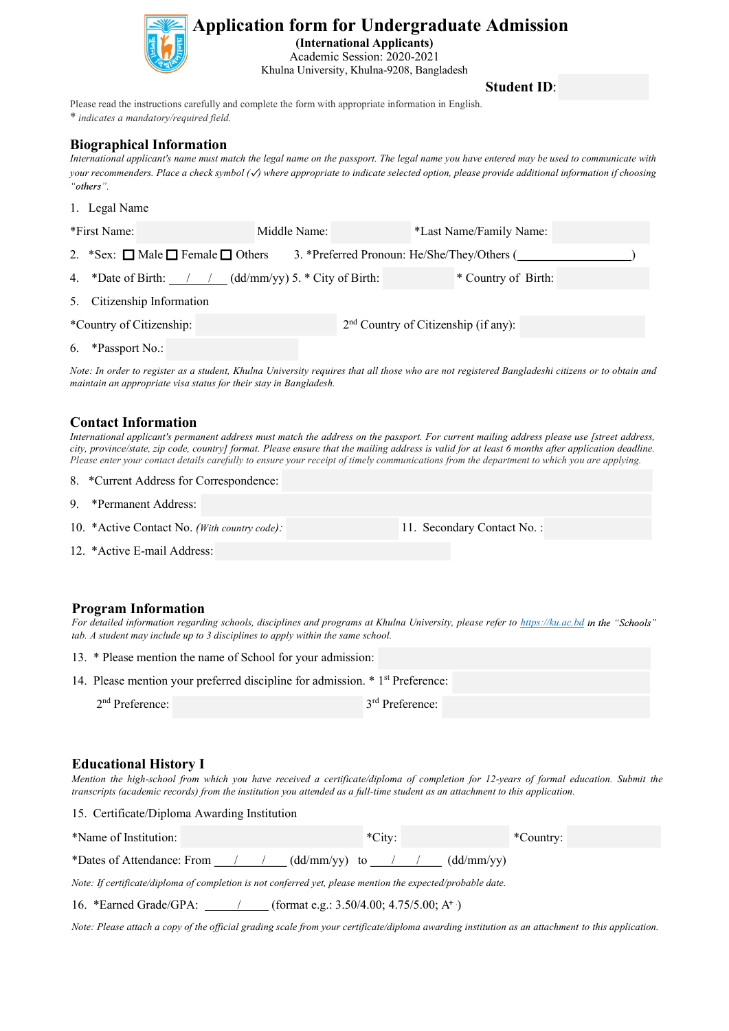

# **Application form for Undergraduate Admission**<br>(International Applicants)<br>Academic Session: 2020-2021<br>Khulna University, Khulna-9208, Bangladesh<br>Student ID:<br>Student ID:

# Biographical Information

**International Application form for Undergraduate Admission**<br>
(International Applicants)<br>
Academic Session: 2020-2021<br>
Khulna University, Khulna-9208, Bangladesh<br> **Student ID:**<br> *Please read the instructions carefully and* **Example a check symbol (and Separate Admission**<br>
(International Applicants)<br>
Academic Session: 2020-2021<br> **Example a check symbol (***b*) where appropriate information in English.<br> **Example a** check symbol (*b*) where app

|                                                                                                                                                  | (International Applicants)<br>Academic Session: 2020-2021<br>Khulna University, Khulna-9208, Bangladesh | <b>Application form for Undergraduate Admission</b>                                                                                                                                                                                                                                                                                                                                                                                             |  |
|--------------------------------------------------------------------------------------------------------------------------------------------------|---------------------------------------------------------------------------------------------------------|-------------------------------------------------------------------------------------------------------------------------------------------------------------------------------------------------------------------------------------------------------------------------------------------------------------------------------------------------------------------------------------------------------------------------------------------------|--|
|                                                                                                                                                  |                                                                                                         | <b>Student ID:</b>                                                                                                                                                                                                                                                                                                                                                                                                                              |  |
| Please read the instructions carefully and complete the form with appropriate information in English.<br>* indicates a mandatory/required field. |                                                                                                         |                                                                                                                                                                                                                                                                                                                                                                                                                                                 |  |
| <b>Biographical Information</b><br>"others".                                                                                                     |                                                                                                         | International applicant's name must match the legal name on the passport. The legal name you have entered may be used to communicate with<br>your recommenders. Place a check symbol $(\checkmark)$ where appropriate to indicate selected option, please provide additional information if choosing                                                                                                                                            |  |
| 1. Legal Name                                                                                                                                    |                                                                                                         |                                                                                                                                                                                                                                                                                                                                                                                                                                                 |  |
| *First Name:                                                                                                                                     | Middle Name:                                                                                            | *Last Name/Family Name:                                                                                                                                                                                                                                                                                                                                                                                                                         |  |
| 2. *Sex: $\Box$ Male $\Box$ Female $\Box$ Others                                                                                                 |                                                                                                         | 3. *Preferred Pronoun: He/She/They/Others (                                                                                                                                                                                                                                                                                                                                                                                                     |  |
| 4. *Date of Birth:                                                                                                                               | $(dd/mm/yy)$ 5. * City of Birth:                                                                        | * Country of Birth:                                                                                                                                                                                                                                                                                                                                                                                                                             |  |
| 5. Citizenship Information                                                                                                                       |                                                                                                         |                                                                                                                                                                                                                                                                                                                                                                                                                                                 |  |
| *Country of Citizenship:                                                                                                                         |                                                                                                         | 2 <sup>nd</sup> Country of Citizenship (if any):                                                                                                                                                                                                                                                                                                                                                                                                |  |
| 6. *Passport No.:                                                                                                                                |                                                                                                         |                                                                                                                                                                                                                                                                                                                                                                                                                                                 |  |
| maintain an appropriate visa status for their stay in Bangladesh.                                                                                |                                                                                                         | Note: In order to register as a student, Khulna University requires that all those who are not registered Bangladeshi citizens or to obtain and                                                                                                                                                                                                                                                                                                 |  |
| <b>Contact Information</b>                                                                                                                       |                                                                                                         | International applicant's permanent address must match the address on the passport. For current mailing address please use [street address,<br>city, province/state, zip code, country] format. Please ensure that the mailing address is valid for at least 6 months after application deadline.<br>Please enter your contact details carefully to ensure your receipt of timely communications from the department to which you are applying. |  |
| 8. *Current Address for Correspondence:                                                                                                          |                                                                                                         |                                                                                                                                                                                                                                                                                                                                                                                                                                                 |  |
| 9. *Permanent Address:                                                                                                                           |                                                                                                         |                                                                                                                                                                                                                                                                                                                                                                                                                                                 |  |
| 10. *Active Contact No. (With country code):                                                                                                     |                                                                                                         | 11. Secondary Contact No.:                                                                                                                                                                                                                                                                                                                                                                                                                      |  |
|                                                                                                                                                  |                                                                                                         |                                                                                                                                                                                                                                                                                                                                                                                                                                                 |  |

| *Country of Citizenship:                                                   |                                                                                                                                                | 2 <sup>nd</sup> Country of Citizenship (if any):                                                                                                                                                                                                                                                                                                                                                                                                |           |  |
|----------------------------------------------------------------------------|------------------------------------------------------------------------------------------------------------------------------------------------|-------------------------------------------------------------------------------------------------------------------------------------------------------------------------------------------------------------------------------------------------------------------------------------------------------------------------------------------------------------------------------------------------------------------------------------------------|-----------|--|
| 6. *Passport No.:                                                          |                                                                                                                                                |                                                                                                                                                                                                                                                                                                                                                                                                                                                 |           |  |
|                                                                            | maintain an appropriate visa status for their stay in Bangladesh.                                                                              | Note: In order to register as a student, Khulna University requires that all those who are not registered Bangladeshi citizens or to obtain and                                                                                                                                                                                                                                                                                                 |           |  |
| <b>Contact Information</b>                                                 |                                                                                                                                                | International applicant's permanent address must match the address on the passport. For current mailing address please use [street address,<br>city, province/state, zip code, country] format. Please ensure that the mailing address is valid for at least 6 months after application deadline.<br>Please enter your contact details carefully to ensure your receipt of timely communications from the department to which you are applying. |           |  |
| 8. *Current Address for Correspondence:                                    |                                                                                                                                                |                                                                                                                                                                                                                                                                                                                                                                                                                                                 |           |  |
| 9. * Permanent Address:                                                    |                                                                                                                                                |                                                                                                                                                                                                                                                                                                                                                                                                                                                 |           |  |
| 11. Secondary Contact No.:<br>10. *Active Contact No. (With country code): |                                                                                                                                                |                                                                                                                                                                                                                                                                                                                                                                                                                                                 |           |  |
| 12. * Active E-mail Address:                                               |                                                                                                                                                |                                                                                                                                                                                                                                                                                                                                                                                                                                                 |           |  |
| <b>Program Information</b>                                                 | tab. A student may include up to 3 disciplines to apply within the same school.<br>13. * Please mention the name of School for your admission: | For detailed information regarding schools, disciplines and programs at Khulna University, please refer to https://ku.ac.bd in the "Schools"                                                                                                                                                                                                                                                                                                    |           |  |
|                                                                            | 14. Please mention your preferred discipline for admission. * 1 <sup>st</sup> Preference:                                                      |                                                                                                                                                                                                                                                                                                                                                                                                                                                 |           |  |
| $2nd$ Preference:                                                          |                                                                                                                                                | 3rd Preference:                                                                                                                                                                                                                                                                                                                                                                                                                                 |           |  |
| <b>Educational History I</b>                                               |                                                                                                                                                | Mention the high-school from which you have received a certificate/diploma of completion for 12-years of formal education. Submit the<br>transcripts (academic records) from the institution you attended as a full-time student as an attachment to this application.                                                                                                                                                                          |           |  |
| 15. Certificate/Diploma Awarding Institution                               |                                                                                                                                                |                                                                                                                                                                                                                                                                                                                                                                                                                                                 |           |  |
| *Name of Institution:                                                      |                                                                                                                                                | *City:                                                                                                                                                                                                                                                                                                                                                                                                                                          | *Country: |  |
| *Dates of Attendance: From                                                 | (dd/mm/yy) to                                                                                                                                  | (dd/mm/yy)                                                                                                                                                                                                                                                                                                                                                                                                                                      |           |  |

# Program Information

| 13. * Please mention the name of School for your admission:                               |                   |  |  |  |  |
|-------------------------------------------------------------------------------------------|-------------------|--|--|--|--|
| 14. Please mention your preferred discipline for admission. * 1 <sup>st</sup> Preference: |                   |  |  |  |  |
| $2nd$ Preference:                                                                         | $3rd$ Preference: |  |  |  |  |

| 9. *Permanent Address:                                                                                                                                                                                                                                                                                 |                             |           |  |
|--------------------------------------------------------------------------------------------------------------------------------------------------------------------------------------------------------------------------------------------------------------------------------------------------------|-----------------------------|-----------|--|
| 10. *Active Contact No. (With country code):                                                                                                                                                                                                                                                           | 11. Secondary Contact No.:  |           |  |
| 12. * Active E-mail Address:                                                                                                                                                                                                                                                                           |                             |           |  |
|                                                                                                                                                                                                                                                                                                        |                             |           |  |
| <b>Program Information</b><br>For detailed information regarding schools, disciplines and programs at Khulna University, please refer to https://ku.ac.bd in the "Schools"<br>tab. A student may include up to 3 disciplines to apply within the same school.                                          |                             |           |  |
| 13. * Please mention the name of School for your admission:                                                                                                                                                                                                                                            |                             |           |  |
| 14. Please mention your preferred discipline for admission. * 1 <sup>st</sup> Preference:                                                                                                                                                                                                              |                             |           |  |
| 2 <sup>nd</sup> Preference:                                                                                                                                                                                                                                                                            | 3 <sup>rd</sup> Preference: |           |  |
|                                                                                                                                                                                                                                                                                                        |                             |           |  |
| <b>Educational History I</b><br>Mention the high-school from which you have received a certificate/diploma of completion for 12-years of formal education. Submit the<br>transcripts (academic records) from the institution you attended as a full-time student as an attachment to this application. |                             |           |  |
| 15. Certificate/Diploma Awarding Institution                                                                                                                                                                                                                                                           |                             |           |  |
| *Name of Institution:                                                                                                                                                                                                                                                                                  | $*City:$                    | *Country: |  |
|                                                                                                                                                                                                                                                                                                        |                             |           |  |
| *Dates of Attendance: From $\frac{\pi}{\pi}$ / $\frac{\pi}{\pi}$ (dd/mm/yy) to $\frac{\pi}{\pi}$                                                                                                                                                                                                       | (dd/mm/yy)                  |           |  |
| Note: If certificate/diploma of completion is not conferred yet, please mention the expected/probable date.                                                                                                                                                                                            |                             |           |  |
| 16. *Earned Grade/GPA: / (format e.g.: 3.50/4.00; 4.75/5.00; A+)                                                                                                                                                                                                                                       |                             |           |  |